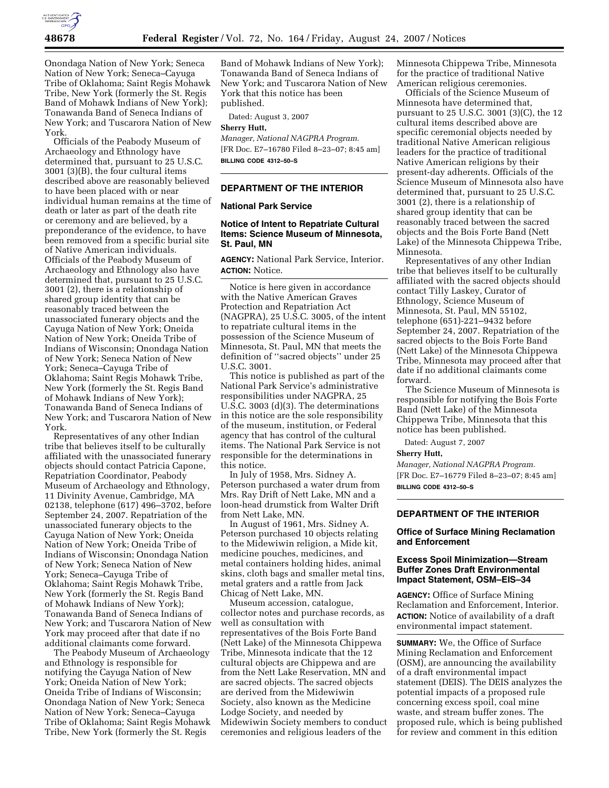

Onondaga Nation of New York; Seneca Nation of New York; Seneca–Cayuga Tribe of Oklahoma; Saint Regis Mohawk Tribe, New York (formerly the St. Regis Band of Mohawk Indians of New York); Tonawanda Band of Seneca Indians of New York; and Tuscarora Nation of New York.

Officials of the Peabody Museum of Archaeology and Ethnology have determined that, pursuant to 25 U.S.C. 3001 (3)(B), the four cultural items described above are reasonably believed to have been placed with or near individual human remains at the time of death or later as part of the death rite or ceremony and are believed, by a preponderance of the evidence, to have been removed from a specific burial site of Native American individuals. Officials of the Peabody Museum of Archaeology and Ethnology also have determined that, pursuant to 25 U.S.C. 3001 (2), there is a relationship of shared group identity that can be reasonably traced between the unassociated funerary objects and the Cayuga Nation of New York; Oneida Nation of New York; Oneida Tribe of Indians of Wisconsin; Onondaga Nation of New York; Seneca Nation of New York; Seneca–Cayuga Tribe of Oklahoma; Saint Regis Mohawk Tribe, New York (formerly the St. Regis Band of Mohawk Indians of New York); Tonawanda Band of Seneca Indians of New York; and Tuscarora Nation of New York.

Representatives of any other Indian tribe that believes itself to be culturally affiliated with the unassociated funerary objects should contact Patricia Capone, Repatriation Coordinator, Peabody Museum of Archaeology and Ethnology, 11 Divinity Avenue, Cambridge, MA 02138, telephone (617) 496–3702, before September 24, 2007. Repatriation of the unassociated funerary objects to the Cayuga Nation of New York; Oneida Nation of New York; Oneida Tribe of Indians of Wisconsin; Onondaga Nation of New York; Seneca Nation of New York; Seneca–Cayuga Tribe of Oklahoma; Saint Regis Mohawk Tribe, New York (formerly the St. Regis Band of Mohawk Indians of New York); Tonawanda Band of Seneca Indians of New York; and Tuscarora Nation of New York may proceed after that date if no additional claimants come forward.

The Peabody Museum of Archaeology and Ethnology is responsible for notifying the Cayuga Nation of New York; Oneida Nation of New York; Oneida Tribe of Indians of Wisconsin; Onondaga Nation of New York; Seneca Nation of New York; Seneca–Cayuga Tribe of Oklahoma; Saint Regis Mohawk Tribe, New York (formerly the St. Regis

Band of Mohawk Indians of New York); Tonawanda Band of Seneca Indians of New York; and Tuscarora Nation of New York that this notice has been published.

Dated: August 3, 2007

**Sherry Hutt,** 

*Manager, National NAGPRA Program.*  [FR Doc. E7–16780 Filed 8–23–07; 8:45 am] **BILLING CODE 4312–50–S** 

# **DEPARTMENT OF THE INTERIOR**

# **National Park Service**

## **Notice of Intent to Repatriate Cultural Items: Science Museum of Minnesota, St. Paul, MN**

**AGENCY:** National Park Service, Interior. **ACTION:** Notice.

Notice is here given in accordance with the Native American Graves Protection and Repatriation Act (NAGPRA), 25 U.S.C. 3005, of the intent to repatriate cultural items in the possession of the Science Museum of Minnesota, St. Paul, MN that meets the definition of ''sacred objects'' under 25 U.S.C. 3001.

This notice is published as part of the National Park Service's administrative responsibilities under NAGPRA, 25 U.S.C. 3003 (d)(3). The determinations in this notice are the sole responsibility of the museum, institution, or Federal agency that has control of the cultural items. The National Park Service is not responsible for the determinations in this notice.

In July of 1958, Mrs. Sidney A. Peterson purchased a water drum from Mrs. Ray Drift of Nett Lake, MN and a loon-head drumstick from Walter Drift from Nett Lake, MN.

In August of 1961, Mrs. Sidney A. Peterson purchased 10 objects relating to the Midewiwin religion, a Mide kit, medicine pouches, medicines, and metal containers holding hides, animal skins, cloth bags and smaller metal tins, metal graters and a rattle from Jack Chicag of Nett Lake, MN.

Museum accession, catalogue, collector notes and purchase records, as well as consultation with representatives of the Bois Forte Band (Nett Lake) of the Minnesota Chippewa Tribe, Minnesota indicate that the 12 cultural objects are Chippewa and are from the Nett Lake Reservation, MN and are sacred objects. The sacred objects are derived from the Midewiwin Society, also known as the Medicine Lodge Society, and needed by Midewiwin Society members to conduct ceremonies and religious leaders of the

Minnesota Chippewa Tribe, Minnesota for the practice of traditional Native American religious ceremonies.

Officials of the Science Museum of Minnesota have determined that, pursuant to 25 U.S.C. 3001 (3)(C), the 12 cultural items described above are specific ceremonial objects needed by traditional Native American religious leaders for the practice of traditional Native American religions by their present-day adherents. Officials of the Science Museum of Minnesota also have determined that, pursuant to 25 U.S.C. 3001 (2), there is a relationship of shared group identity that can be reasonably traced between the sacred objects and the Bois Forte Band (Nett Lake) of the Minnesota Chippewa Tribe, Minnesota.

Representatives of any other Indian tribe that believes itself to be culturally affiliated with the sacred objects should contact Tilly Laskey, Curator of Ethnology, Science Museum of Minnesota, St. Paul, MN 55102, telephone (651)-221–9432 before September 24, 2007. Repatriation of the sacred objects to the Bois Forte Band (Nett Lake) of the Minnesota Chippewa Tribe, Minnesota may proceed after that date if no additional claimants come forward.

The Science Museum of Minnesota is responsible for notifying the Bois Forte Band (Nett Lake) of the Minnesota Chippewa Tribe, Minnesota that this notice has been published.

Dated: August 7, 2007

#### **Sherry Hutt,**

*Manager, National NAGPRA Program.*  [FR Doc. E7–16779 Filed 8–23–07; 8:45 am] **BILLING CODE 4312–50–S** 

# **DEPARTMENT OF THE INTERIOR**

# **Office of Surface Mining Reclamation and Enforcement**

## **Excess Spoil Minimization—Stream Buffer Zones Draft Environmental Impact Statement, OSM–EIS–34**

**AGENCY:** Office of Surface Mining Reclamation and Enforcement, Interior. **ACTION:** Notice of availability of a draft environmental impact statement.

**SUMMARY:** We, the Office of Surface Mining Reclamation and Enforcement (OSM), are announcing the availability of a draft environmental impact statement (DEIS). The DEIS analyzes the potential impacts of a proposed rule concerning excess spoil, coal mine waste, and stream buffer zones. The proposed rule, which is being published for review and comment in this edition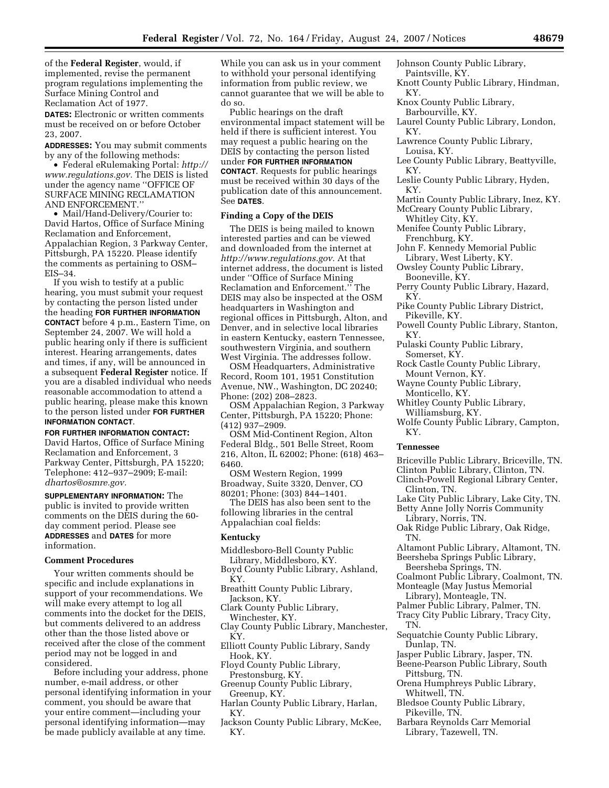of the **Federal Register**, would, if implemented, revise the permanent program regulations implementing the Surface Mining Control and Reclamation Act of 1977.

**DATES:** Electronic or written comments must be received on or before October 23, 2007.

**ADDRESSES:** You may submit comments by any of the following methods:

• Federal eRulemaking Portal: *http:// www.regulations.gov.* The DEIS is listed under the agency name ''OFFICE OF SURFACE MINING RECLAMATION AND ENFORCEMENT.''

• Mail/Hand-Delivery/Courier to: David Hartos, Office of Surface Mining Reclamation and Enforcement, Appalachian Region, 3 Parkway Center, Pittsburgh, PA 15220. Please identify the comments as pertaining to OSM– EIS–34.

If you wish to testify at a public hearing, you must submit your request by contacting the person listed under the heading **FOR FURTHER INFORMATION CONTACT** before 4 p.m., Eastern Time, on September 24, 2007. We will hold a public hearing only if there is sufficient interest. Hearing arrangements, dates and times, if any, will be announced in a subsequent **Federal Register** notice. If you are a disabled individual who needs reasonable accommodation to attend a public hearing, please make this known to the person listed under **FOR FURTHER INFORMATION CONTACT**.

#### **FOR FURTHER INFORMATION CONTACT:**

David Hartos, Office of Surface Mining Reclamation and Enforcement, 3 Parkway Center, Pittsburgh, PA 15220; Telephone: 412–937–2909; E-mail: *dhartos@osmre.gov.* 

**SUPPLEMENTARY INFORMATION:** The public is invited to provide written comments on the DEIS during the 60 day comment period. Please see **ADDRESSES** and **DATES** for more information.

#### **Comment Procedures**

Your written comments should be specific and include explanations in support of your recommendations. We will make every attempt to log all comments into the docket for the DEIS, but comments delivered to an address other than the those listed above or received after the close of the comment period may not be logged in and considered.

Before including your address, phone number, e-mail address, or other personal identifying information in your comment, you should be aware that your entire comment—including your personal identifying information—may be made publicly available at any time.

While you can ask us in your comment to withhold your personal identifying information from public review, we cannot guarantee that we will be able to do so.

Public hearings on the draft environmental impact statement will be held if there is sufficient interest. You may request a public hearing on the DEIS by contacting the person listed under **FOR FURTHER INFORMATION CONTACT**. Requests for public hearings must be received within 30 days of the publication date of this announcement. See **DATES**.

### **Finding a Copy of the DEIS**

The DEIS is being mailed to known interested parties and can be viewed and downloaded from the internet at *http://www.regulations.gov.* At that internet address, the document is listed under ''Office of Surface Mining Reclamation and Enforcement.'' The DEIS may also be inspected at the OSM headquarters in Washington and regional offices in Pittsburgh, Alton, and Denver, and in selective local libraries in eastern Kentucky, eastern Tennessee, southwestern Virginia, and southern West Virginia. The addresses follow.

OSM Headquarters, Administrative Record, Room 101, 1951 Constitution Avenue, NW., Washington, DC 20240; Phone: (202) 208–2823.

OSM Appalachian Region, 3 Parkway Center, Pittsburgh, PA 15220; Phone: (412) 937–2909.

OSM Mid-Continent Region, Alton Federal Bldg., 501 Belle Street, Room 216, Alton, IL 62002; Phone: (618) 463– 6460.

OSM Western Region, 1999 Broadway, Suite 3320, Denver, CO 80201; Phone: (303) 844–1401.

The DEIS has also been sent to the following libraries in the central Appalachian coal fields:

## **Kentucky**

- Middlesboro-Bell County Public Library, Middlesboro, KY.
- Boyd County Public Library, Ashland, KY.
- Breathitt County Public Library, Jackson, KY.
- Clark County Public Library, Winchester, KY.
- Clay County Public Library, Manchester, KY.
- Elliott County Public Library, Sandy Hook, KY.
- Floyd County Public Library, Prestonsburg, KY.
- Greenup County Public Library, Greenup, KY.
- Harlan County Public Library, Harlan, KY.
- Jackson County Public Library, McKee, KY.
- Johnson County Public Library, Paintsville, KY.
- Knott County Public Library, Hindman, KY.
- Knox County Public Library, Barbourville, KY.
- Laurel County Public Library, London, KY.
- Lawrence County Public Library, Louisa, KY.
- Lee County Public Library, Beattyville, KY.
- Leslie County Public Library, Hyden, KY.
- Martin County Public Library, Inez, KY. McCreary County Public Library,
- Whitley City, KY. Menifee County Public Library,
- Frenchburg, KY.
- John F. Kennedy Memorial Public Library, West Liberty, KY.
- Owsley County Public Library, Booneville, KY.
- Perry County Public Library, Hazard, KY.
- Pike County Public Library District, Pikeville, KY.
- Powell County Public Library, Stanton, KY.
- Pulaski County Public Library, Somerset, KY.
- Rock Castle County Public Library, Mount Vernon, KY.
- Wayne County Public Library, Monticello, KY.
- Whitley County Public Library, Williamsburg, KY.
- Wolfe County Public Library, Campton, KY.

#### **Tennessee**

- Briceville Public Library, Briceville, TN.
- Clinton Public Library, Clinton, TN.
- Clinch-Powell Regional Library Center, Clinton, TN.
- Lake City Public Library, Lake City, TN.
- Betty Anne Jolly Norris Community Library, Norris, TN.
- Oak Ridge Public Library, Oak Ridge, TN.
- Altamont Public Library, Altamont, TN. Beersheba Springs Public Library,
- Beersheba Springs, TN.
- Coalmont Public Library, Coalmont, TN.
- Monteagle (May Justus Memorial
- Library), Monteagle, TN. Palmer Public Library, Palmer, TN.
- Tracy City Public Library, Tracy City,
- TN.
- Sequatchie County Public Library, Dunlap, TN.
- Jasper Public Library, Jasper, TN.
- Beene-Pearson Public Library, South Pittsburg, TN.
- Orena Humphreys Public Library, Whitwell, TN.
- Bledsoe County Public Library, Pikeville, TN.
- Barbara Reynolds Carr Memorial Library, Tazewell, TN.